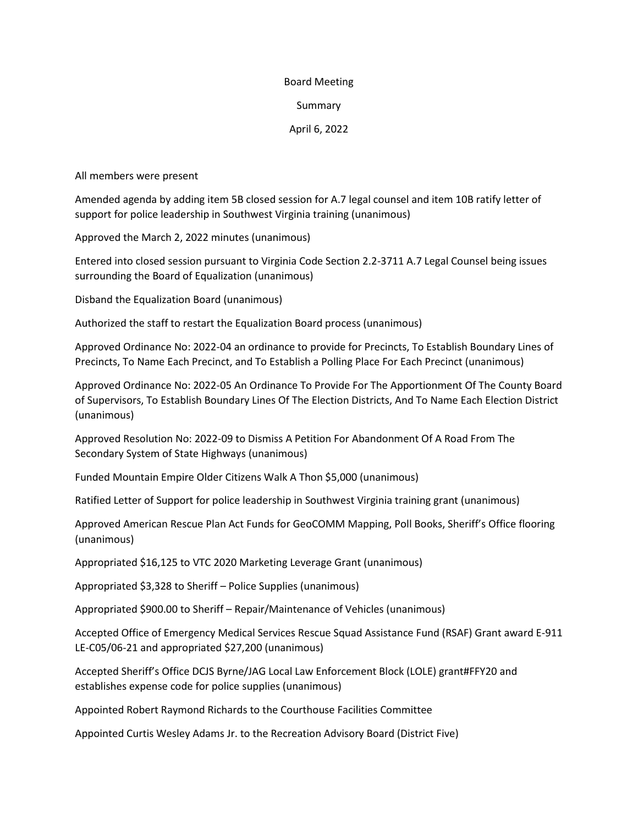## Board Meeting

## Summary

## April 6, 2022

All members were present

Amended agenda by adding item 5B closed session for A.7 legal counsel and item 10B ratify letter of support for police leadership in Southwest Virginia training (unanimous)

Approved the March 2, 2022 minutes (unanimous)

Entered into closed session pursuant to Virginia Code Section 2.2-3711 A.7 Legal Counsel being issues surrounding the Board of Equalization (unanimous)

Disband the Equalization Board (unanimous)

Authorized the staff to restart the Equalization Board process (unanimous)

Approved Ordinance No: 2022-04 an ordinance to provide for Precincts, To Establish Boundary Lines of Precincts, To Name Each Precinct, and To Establish a Polling Place For Each Precinct (unanimous)

Approved Ordinance No: 2022-05 An Ordinance To Provide For The Apportionment Of The County Board of Supervisors, To Establish Boundary Lines Of The Election Districts, And To Name Each Election District (unanimous)

Approved Resolution No: 2022-09 to Dismiss A Petition For Abandonment Of A Road From The Secondary System of State Highways (unanimous)

Funded Mountain Empire Older Citizens Walk A Thon \$5,000 (unanimous)

Ratified Letter of Support for police leadership in Southwest Virginia training grant (unanimous)

Approved American Rescue Plan Act Funds for GeoCOMM Mapping, Poll Books, Sheriff's Office flooring (unanimous)

Appropriated \$16,125 to VTC 2020 Marketing Leverage Grant (unanimous)

Appropriated \$3,328 to Sheriff – Police Supplies (unanimous)

Appropriated \$900.00 to Sheriff – Repair/Maintenance of Vehicles (unanimous)

Accepted Office of Emergency Medical Services Rescue Squad Assistance Fund (RSAF) Grant award E-911 LE-C05/06-21 and appropriated \$27,200 (unanimous)

Accepted Sheriff's Office DCJS Byrne/JAG Local Law Enforcement Block (LOLE) grant#FFY20 and establishes expense code for police supplies (unanimous)

Appointed Robert Raymond Richards to the Courthouse Facilities Committee

Appointed Curtis Wesley Adams Jr. to the Recreation Advisory Board (District Five)